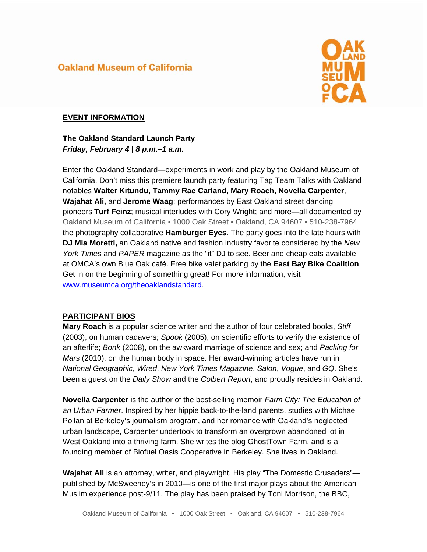# **Oakland Museum of California**



## **EVENT INFORMATION**

**The Oakland Standard Launch Party**  *Friday, February 4 | 8 p.m.–1 a.m.* 

Enter the Oakland Standard—experiments in work and play by the Oakland Museum of California. Don't miss this premiere launch party featuring Tag Team Talks with Oakland notables **Walter Kitundu, Tammy Rae Carland, Mary Roach, Novella Carpenter**, **Wajahat Ali,** and **Jerome Waag**; performances by East Oakland street dancing pioneers **Turf Feinz**; musical interludes with Cory Wright; and more—all documented by Oakland Museum of California • 1000 Oak Street • Oakland, CA 94607 • 510-238-7964 the photography collaborative **Hamburger Eyes**. The party goes into the late hours with **DJ Mia Moretti,** an Oakland native and fashion industry favorite considered by the *New York Times* and *PAPER* magazine as the "it" DJ to see. Beer and cheap eats available at OMCA's own Blue Oak café. Free bike valet parking by the **East Bay Bike Coalition**. Get in on the beginning of something great! For more information, visit www.museumca.org/theoaklandstandard.

## **PARTICIPANT BIOS**

**Mary Roach** is a popular science writer and the author of four celebrated books, *Stiff*  (2003), on human cadavers; *Spook* (2005), on scientific efforts to verify the existence of an afterlife; *Bonk* (2008), on the awkward marriage of science and sex; and *Packing for Mars* (2010), on the human body in space. Her award-winning articles have run in *National Geographic*, *Wired*, *New York Times Magazine*, *Salon*, *Vogue*, and *GQ*. She's been a guest on the *Daily Show* and the *Colbert Report*, and proudly resides in Oakland.

**Novella Carpenter** is the author of the best-selling memoir *Farm City: The Education of an Urban Farmer*. Inspired by her hippie back-to-the-land parents, studies with Michael Pollan at Berkeley's journalism program, and her romance with Oakland's neglected urban landscape, Carpenter undertook to transform an overgrown abandoned lot in West Oakland into a thriving farm. She writes the blog GhostTown Farm, and is a founding member of Biofuel Oasis Cooperative in Berkeley. She lives in Oakland.

**Wajahat Ali** is an attorney, writer, and playwright. His play "The Domestic Crusaders" published by McSweeney's in 2010—is one of the first major plays about the American Muslim experience post-9/11. The play has been praised by Toni Morrison, the BBC,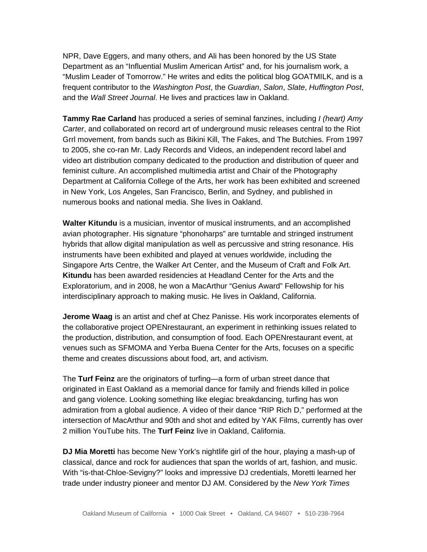NPR, Dave Eggers, and many others, and Ali has been honored by the US State Department as an "Influential Muslim American Artist" and, for his journalism work, a "Muslim Leader of Tomorrow." He writes and edits the political blog GOATMILK, and is a frequent contributor to the *Washington Post*, the *Guardian*, *Salon*, *Slate*, *Huffington Post*, and the *Wall Street Journal*. He lives and practices law in Oakland.

**Tammy Rae Carland** has produced a series of seminal fanzines, including *I (heart) Amy Carter*, and collaborated on record art of underground music releases central to the Riot Grrl movement, from bands such as Bikini Kill, The Fakes, and The Butchies. From 1997 to 2005, she co-ran Mr. Lady Records and Videos, an independent record label and video art distribution company dedicated to the production and distribution of queer and feminist culture. An accomplished multimedia artist and Chair of the Photography Department at California College of the Arts, her work has been exhibited and screened in New York, Los Angeles, San Francisco, Berlin, and Sydney, and published in numerous books and national media. She lives in Oakland.

**Walter Kitundu** is a musician, inventor of musical instruments, and an accomplished avian photographer. His signature "phonoharps" are turntable and stringed instrument hybrids that allow digital manipulation as well as percussive and string resonance. His instruments have been exhibited and played at venues worldwide, including the Singapore Arts Centre, the Walker Art Center, and the Museum of Craft and Folk Art. **Kitundu** has been awarded residencies at Headland Center for the Arts and the Exploratorium, and in 2008, he won a MacArthur "Genius Award" Fellowship for his interdisciplinary approach to making music. He lives in Oakland, California.

**Jerome Waag** is an artist and chef at Chez Panisse. His work incorporates elements of the collaborative project OPENrestaurant, an experiment in rethinking issues related to the production, distribution, and consumption of food. Each OPENrestaurant event, at venues such as SFMOMA and Yerba Buena Center for the Arts, focuses on a specific theme and creates discussions about food, art, and activism.

The **Turf Feinz** are the originators of turfing—a form of urban street dance that originated in East Oakland as a memorial dance for family and friends killed in police and gang violence. Looking something like elegiac breakdancing, turfing has won admiration from a global audience. A video of their dance "RIP Rich D," performed at the intersection of MacArthur and 90th and shot and edited by YAK Films, currently has over 2 million YouTube hits. The **Turf Feinz** live in Oakland, California.

**DJ Mia Moretti** has become New York's nightlife girl of the hour, playing a mash-up of classical, dance and rock for audiences that span the worlds of art, fashion, and music. With "is-that-Chloe-Sevigny?" looks and impressive DJ credentials, Moretti learned her trade under industry pioneer and mentor DJ AM. Considered by the *New York Times*